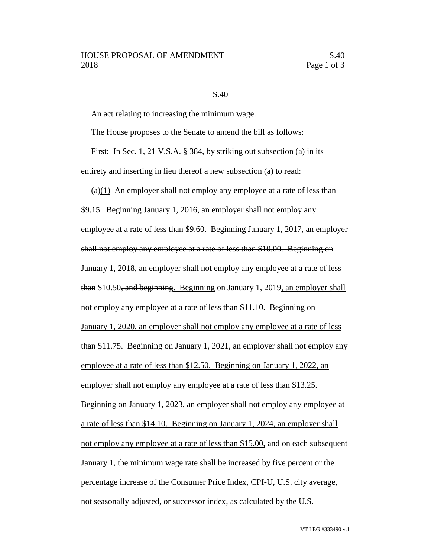## S.40

An act relating to increasing the minimum wage.

The House proposes to the Senate to amend the bill as follows:

First: In Sec. 1, 21 V.S.A. § 384, by striking out subsection (a) in its entirety and inserting in lieu thereof a new subsection (a) to read:

(a)(1) An employer shall not employ any employee at a rate of less than \$9.15. Beginning January 1, 2016, an employer shall not employ any employee at a rate of less than \$9.60. Beginning January 1, 2017, an employer shall not employ any employee at a rate of less than \$10.00. Beginning on January 1, 2018, an employer shall not employ any employee at a rate of less than \$10.50, and beginning. Beginning on January 1, 2019, an employer shall not employ any employee at a rate of less than \$11.10. Beginning on January 1, 2020, an employer shall not employ any employee at a rate of less than \$11.75. Beginning on January 1, 2021, an employer shall not employ any employee at a rate of less than \$12.50. Beginning on January 1, 2022, an employer shall not employ any employee at a rate of less than \$13.25. Beginning on January 1, 2023, an employer shall not employ any employee at a rate of less than \$14.10. Beginning on January 1, 2024, an employer shall not employ any employee at a rate of less than \$15.00, and on each subsequent January 1, the minimum wage rate shall be increased by five percent or the percentage increase of the Consumer Price Index, CPI-U, U.S. city average, not seasonally adjusted, or successor index, as calculated by the U.S.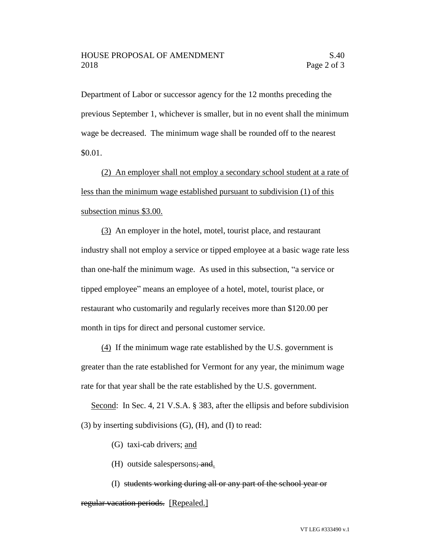Department of Labor or successor agency for the 12 months preceding the previous September 1, whichever is smaller, but in no event shall the minimum wage be decreased. The minimum wage shall be rounded off to the nearest \$0.01.

(2) An employer shall not employ a secondary school student at a rate of less than the minimum wage established pursuant to subdivision (1) of this subsection minus \$3.00.

(3) An employer in the hotel, motel, tourist place, and restaurant industry shall not employ a service or tipped employee at a basic wage rate less than one-half the minimum wage. As used in this subsection, "a service or tipped employee" means an employee of a hotel, motel, tourist place, or restaurant who customarily and regularly receives more than \$120.00 per month in tips for direct and personal customer service.

(4) If the minimum wage rate established by the U.S. government is greater than the rate established for Vermont for any year, the minimum wage rate for that year shall be the rate established by the U.S. government.

Second: In Sec. 4, 21 V.S.A. § 383, after the ellipsis and before subdivision  $(3)$  by inserting subdivisions  $(G)$ ,  $(H)$ , and  $(I)$  to read:

- (G) taxi-cab drivers; and
- (H) outside salespersons; and.
- (I) students working during all or any part of the school year or

## regular vacation periods. [Repealed.]